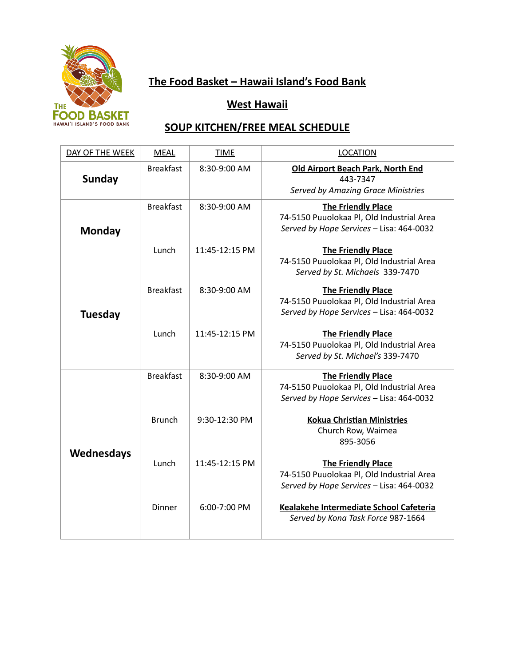

# **The Food Basket – Hawaii Island's Food Bank**

### **West Hawaii**

## **SOUP KITCHEN/FREE MEAL SCHEDULE**

| DAY OF THE WEEK | <b>MEAL</b>      | <b>TIME</b>    | <b>LOCATION</b>                                                                                                    |  |
|-----------------|------------------|----------------|--------------------------------------------------------------------------------------------------------------------|--|
| <b>Sunday</b>   | <b>Breakfast</b> | 8:30-9:00 AM   | <b>Old Airport Beach Park, North End</b><br>443-7347<br><b>Served by Amazing Grace Ministries</b>                  |  |
| <b>Monday</b>   | <b>Breakfast</b> | 8:30-9:00 AM   | <b>The Friendly Place</b><br>74-5150 Puuolokaa Pl, Old Industrial Area<br>Served by Hope Services - Lisa: 464-0032 |  |
|                 | Lunch            | 11:45-12:15 PM | <b>The Friendly Place</b><br>74-5150 Puuolokaa Pl, Old Industrial Area<br>Served by St. Michaels 339-7470          |  |
| <b>Tuesday</b>  | <b>Breakfast</b> | 8:30-9:00 AM   | <b>The Friendly Place</b><br>74-5150 Puuolokaa Pl, Old Industrial Area<br>Served by Hope Services - Lisa: 464-0032 |  |
|                 | Lunch            | 11:45-12:15 PM | <b>The Friendly Place</b><br>74-5150 Puuolokaa Pl, Old Industrial Area<br>Served by St. Michael's 339-7470         |  |
|                 | <b>Breakfast</b> | 8:30-9:00 AM   | <b>The Friendly Place</b><br>74-5150 Puuolokaa Pl, Old Industrial Area<br>Served by Hope Services - Lisa: 464-0032 |  |
| Wednesdays      | <b>Brunch</b>    | 9:30-12:30 PM  | <b>Kokua Christian Ministries</b><br>Church Row, Waimea<br>895-3056                                                |  |
|                 | Lunch            | 11:45-12:15 PM | <b>The Friendly Place</b><br>74-5150 Puuolokaa Pl, Old Industrial Area<br>Served by Hope Services - Lisa: 464-0032 |  |
|                 | Dinner           | 6:00-7:00 PM   | Kealakehe Intermediate School Cafeteria<br>Served by Kona Task Force 987-1664                                      |  |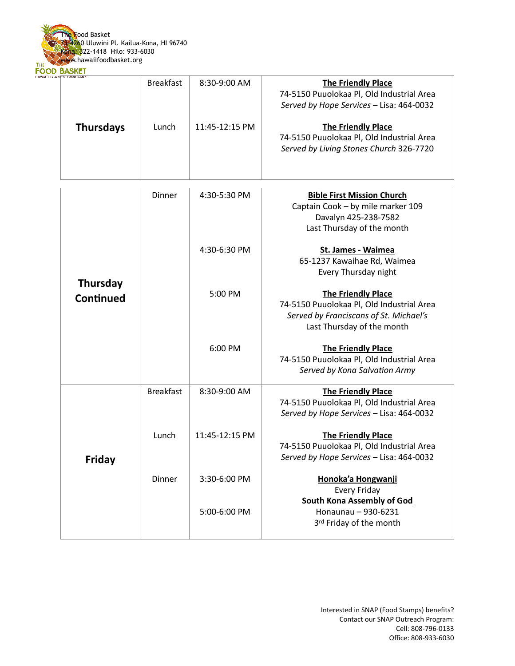

| <b>D'S FOOD BANK</b> | <b>Breakfast</b> | $8:30-9:00$ AM | <b>The Friendly Place</b><br>74-5150 Puuolokaa Pl, Old Industrial Area<br>Served by Hope Services - Lisa: 464-0032 |
|----------------------|------------------|----------------|--------------------------------------------------------------------------------------------------------------------|
| <b>Thursdays</b>     | Lunch            | 11:45-12:15 PM | <b>The Friendly Place</b><br>74-5150 Puuolokaa Pl, Old Industrial Area<br>Served by Living Stones Church 326-7720  |

|                              | <b>Dinner</b>    | 4:30-5:30 PM   | <b>Bible First Mission Church</b><br>Captain Cook - by mile marker 109<br>Davalyn 425-238-7582<br>Last Thursday of the month                   |
|------------------------------|------------------|----------------|------------------------------------------------------------------------------------------------------------------------------------------------|
| <b>Thursday</b><br>Continued |                  | 4:30-6:30 PM   | St. James - Waimea<br>65-1237 Kawaihae Rd, Waimea<br>Every Thursday night                                                                      |
|                              | 5:00 PM          |                | <b>The Friendly Place</b><br>74-5150 Puuolokaa Pl, Old Industrial Area<br>Served by Franciscans of St. Michael's<br>Last Thursday of the month |
|                              |                  | 6:00 PM        | <b>The Friendly Place</b><br>74-5150 Puuolokaa Pl, Old Industrial Area<br>Served by Kona Salvation Army                                        |
|                              | <b>Breakfast</b> | 8:30-9:00 AM   | <b>The Friendly Place</b><br>74-5150 Puuolokaa Pl, Old Industrial Area<br>Served by Hope Services - Lisa: 464-0032                             |
| <b>Friday</b>                | Lunch            | 11:45-12:15 PM | <b>The Friendly Place</b><br>74-5150 Puuolokaa Pl, Old Industrial Area<br>Served by Hope Services - Lisa: 464-0032                             |
|                              | Dinner           | 3:30-6:00 PM   | Honoka'a Hongwanji<br>Every Friday<br><b>South Kona Assembly of God</b>                                                                        |
|                              |                  | 5:00-6:00 PM   | Honaunau - 930-6231<br>3rd Friday of the month                                                                                                 |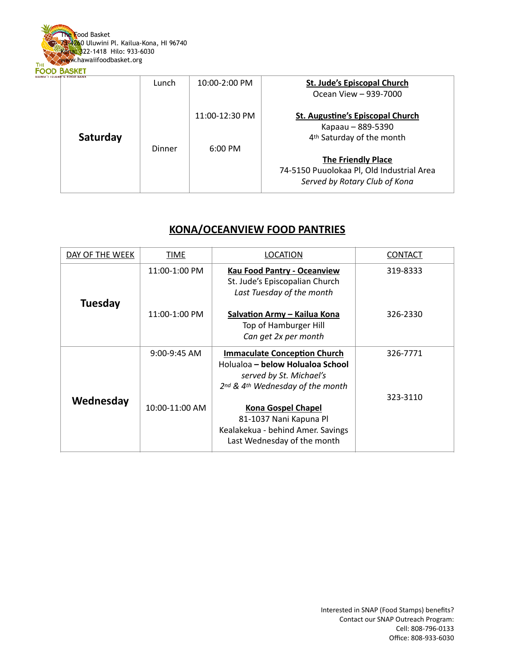

| Saturday | Lunch  | $10:00-2:00$ PM | <b>St. Jude's Episcopal Church</b><br>Ocean View - 939-7000                                           |
|----------|--------|-----------------|-------------------------------------------------------------------------------------------------------|
|          |        | 11:00-12:30 PM  | <b>St. Augustine's Episcopal Church</b><br>Kapaau - 889-5390<br>4 <sup>th</sup> Saturday of the month |
|          | Dinner | $6:00$ PM       | <b>The Friendly Place</b>                                                                             |
|          |        |                 |                                                                                                       |
|          |        |                 | 74-5150 Puuolokaa Pl, Old Industrial Area                                                             |
|          |        |                 | Served by Rotary Club of Kona                                                                         |
|          |        |                 |                                                                                                       |

#### **KONA/OCEANVIEW FOOD PANTRIES**

| DAY OF THE WEEK | <u>TIME</u>      | LOCATION                                                                                                                               | <b>CONTACT</b> |
|-----------------|------------------|----------------------------------------------------------------------------------------------------------------------------------------|----------------|
| Tuesday         | 11:00-1:00 PM    | <b>Kau Food Pantry - Oceanview</b><br>St. Jude's Episcopalian Church<br>Last Tuesday of the month                                      | 319-8333       |
|                 | 11:00-1:00 PM    | Salvation Army - Kailua Kona<br>Top of Hamburger Hill<br>Can get 2x per month                                                          | 326-2330       |
| Wednesday       | $9:00 - 9:45$ AM | <b>Immaculate Conception Church</b><br>Holualoa – below Holualoa School<br>served by St. Michael's<br>2nd & 4th Wednesday of the month | 326-7771       |
|                 | 10:00-11:00 AM   | <b>Kona Gospel Chapel</b><br>81-1037 Nani Kapuna Pl<br>Kealakekua - behind Amer. Savings<br>Last Wednesday of the month                | 323-3110       |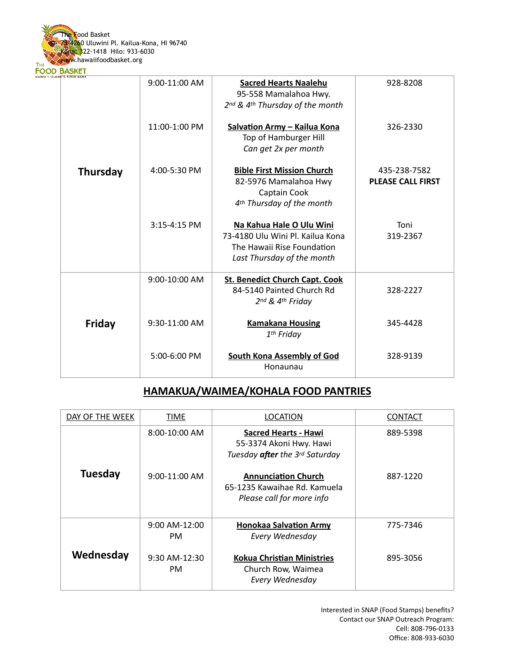

|                 | 9:00-11:00 AM | <b>Sacred Hearts Naalehu</b><br>95-558 Mamalahoa Hwy.<br>2nd & 4th Thursday of the month                                 | 928-8208                                 |
|-----------------|---------------|--------------------------------------------------------------------------------------------------------------------------|------------------------------------------|
|                 | 11:00-1:00 PM | <b>Salvation Army - Kailua Kona</b><br>Top of Hamburger Hill<br>Can get 2x per month                                     | 326-2330                                 |
| <b>Thursday</b> | 4:00-5:30 PM  | <b>Bible First Mission Church</b><br>82-5976 Mamalahoa Hwy<br>Captain Cook<br>4 <sup>th</sup> Thursday of the month      | 435-238-7582<br><b>PLEASE CALL FIRST</b> |
|                 | 3:15-4:15 PM  | Na Kahua Hale O Ulu Wini<br>73-4180 Ulu Wini Pl. Kailua Kona<br>The Hawaii Rise Foundation<br>Last Thursday of the month | Toni<br>319-2367                         |
|                 | 9:00-10:00 AM | <b>St. Benedict Church Capt. Cook</b><br>84-5140 Painted Church Rd<br>2nd & 4th Friday                                   | 328-2227                                 |
| <b>Friday</b>   | 9:30-11:00 AM | <b>Kamakana Housing</b><br>1 <sup>th</sup> Friday                                                                        | 345-4428                                 |
|                 | 5:00-6:00 PM  | <b>South Kona Assembly of God</b><br>Honaunau                                                                            | 328-9139                                 |

### **HAMAKUA/WAIMEA/KOHALA FOOD PANTRIES**

| DAY OF THE WEEK | <b>TIME</b>           | LOCATION                                                                                        | <b>CONTACT</b> |
|-----------------|-----------------------|-------------------------------------------------------------------------------------------------|----------------|
|                 | $8:00-10:00$ AM       | <b>Sacred Hearts - Hawi</b><br>55-3374 Akoni Hwy. Hawi<br>Tuesday <b>after</b> the 3rd Saturday | 889-5398       |
| <b>Tuesday</b>  | $9:00-11:00$ AM       | <b>Annunciation Church</b><br>65-1235 Kawaihae Rd. Kamuela<br>Please call for more info         | 887-1220       |
|                 | $9:00$ AM-12:00<br>PM | <b>Honokaa Salvation Army</b><br>Every Wednesday                                                | 775-7346       |
| Wednesday       | 9:30 AM-12:30<br>PM.  | <b>Kokua Christian Ministries</b><br>Church Row, Waimea<br>Every Wednesday                      | 895-3056       |